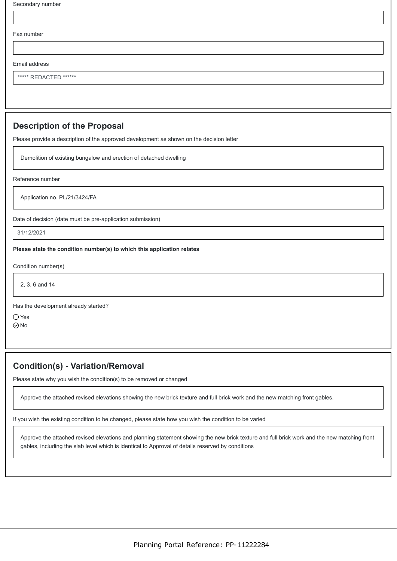| Secondary number                                                                         |
|------------------------------------------------------------------------------------------|
|                                                                                          |
| Fax number                                                                               |
|                                                                                          |
| Email address                                                                            |
| ***** REDACTED ******                                                                    |
|                                                                                          |
|                                                                                          |
| <b>Description of the Proposal</b>                                                       |
| Please provide a description of the approved development as shown on the decision letter |
| Demolition of existing bungalow and erection of detached dwelling                        |
| Reference number                                                                         |
| Application no. PL/21/3424/FA                                                            |

Date of decision (date must be pre-application submission)

31/12/2021

**Please state the condition number(s) to which this application relates**

Condition number(s)

2, 3, 6 and 14

Has the development already started?

Yes  $\odot$ No

## **Condition(s) - Variation/Removal**

Please state why you wish the condition(s) to be removed or changed

Approve the attached revised elevations showing the new brick texture and full brick work and the new matching front gables.

If you wish the existing condition to be changed, please state how you wish the condition to be varied

Approve the attached revised elevations and planning statement showing the new brick texture and full brick work and the new matching front gables, including the slab level which is identical to Approval of details reserved by conditions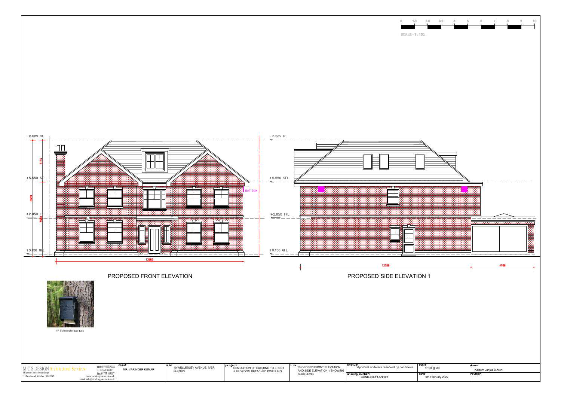

| M C S DESIGN                        | mob: 07989319224<br>tel: 01753 869117 | <b>Iclier</b><br>MR. VARINDER KUMAR | sitı<br>40 WELLESLEY AVENUE, IVER.<br>SLO 9BN | pro ject<br>DEMOLITION OF EXISTING TO ERECT<br>5 BEDROOM DETACHED DWELLING | ιτιτιε<br>PROPOSED FRONT ELEVATION<br>AND SIDE ELEVATION 1 SHOWING I | .status:<br>Approval of details reserved by conditions | l SCI |
|-------------------------------------|---------------------------------------|-------------------------------------|-----------------------------------------------|----------------------------------------------------------------------------|----------------------------------------------------------------------|--------------------------------------------------------|-------|
| Millennium Creative Services Design | 01753 869117                          |                                     |                                               |                                                                            | SLAB LEVEI                                                           | drawina number:                                        |       |
| 53 Westmead, Windsor, SL4 3NN       | www.mcsdesignservices.co.uk           |                                     |                                               |                                                                            |                                                                      | COND-006/PLAN/001                                      |       |
|                                     |                                       |                                     |                                               |                                                                            |                                                                      |                                                        |       |